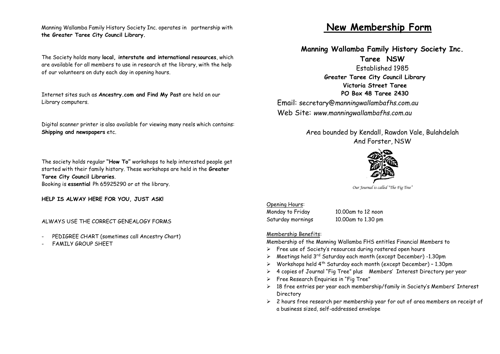Manning Wallamba Family History Society Inc. operates in partnership with **the Greater Taree City Council Library.**

The Society holds many **local, interstate and international resources**, which are available for all members to use in research at the library, with the help of our volunteers on duty each day in opening hours.

Internet sites such as **Ancestry.com and Find My Past** are held on our Library computers.

Digital scanner printer is also available for viewing many reels which contains: **Shipping and newspapers** etc.

The society holds regular **"How To"** workshops to help interested people get started with their family history. These workshops are held in the **Greater Taree City Council Libraries**. Booking is **essential** Ph 65925290 or at the library.

**HELP IS ALWAY HERE FOR YOU, JUST ASK!**

ALWAYS USE THE CORRECT GENEALOGY FORMS

- PEDIGREE CHART (sometimes call Ancestry Chart)
- FAMILY GROUP SHEET

## **New Membership Form**

**Manning Wallamba Family History Society Inc.**

**Taree NSW** Established 1985 **Greater Taree City Council Library Victoria Street Taree PO Box 48 Taree 2430** Email: secretary@*manningwallambafhs.com.au* Web Site: *www.manningwallambafhs.com.au*

> Area bounded by Kendall, Rawdon Vale, Bulahdelah And Forster, NSW



*Our Journal is called "The Fig Tree"*

Opening Hours: Monday to Friday 10.00am to 12 noon Saturday mornings 10.00am to 1.30 pm

Membership Benefits:

Membership of the Manning Wallamba FHS entitles Financial Members to

- ➢ Free use of Society's resources during rostered open hours
- $\triangleright$  Meetings held 3<sup>rd</sup> Saturday each month (except December) -1.30pm
- $\triangleright$  Workshops held 4<sup>th</sup> Saturday each month (except December) 1.30pm
- ➢ 4 copies of Journal "Fig Tree" plus Members' Interest Directory per year
- ➢ Free Research Enquiries in "Fig Tree"
- ➢ 18 free entries per year each membership/family in Society's Members' Interest Directory
- $\geq$  2 hours free research per membership year for out of area members on receipt of a business sized, self-addressed envelope